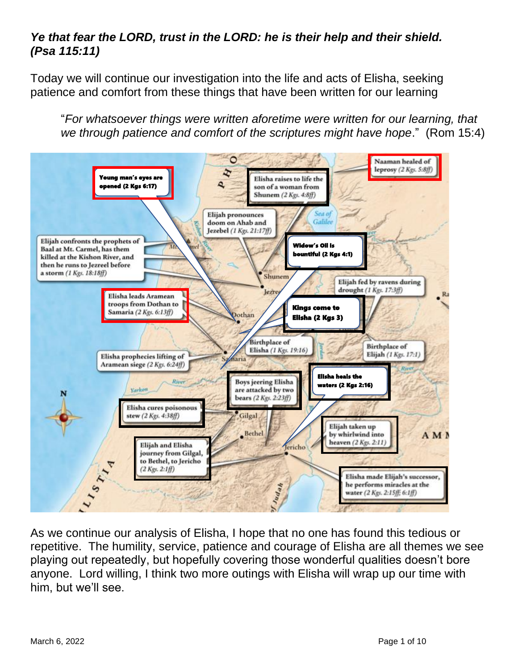## *Ye that fear the LORD, trust in the LORD: he is their help and their shield. (Psa 115:11)*

Today we will continue our investigation into the life and acts of Elisha, seeking patience and comfort from these things that have been written for our learning

"*For whatsoever things were written aforetime were written for our learning, that*  we through patience and comfort of the scriptures might have hope." (Rom 15:4)



As we continue our analysis of Elisha, I hope that no one has found this tedious or repetitive. The humility, service, patience and courage of Elisha are all themes we see playing out repeatedly, but hopefully covering those wonderful qualities doesn't bore anyone. Lord willing, I think two more outings with Elisha will wrap up our time with him, but we'll see.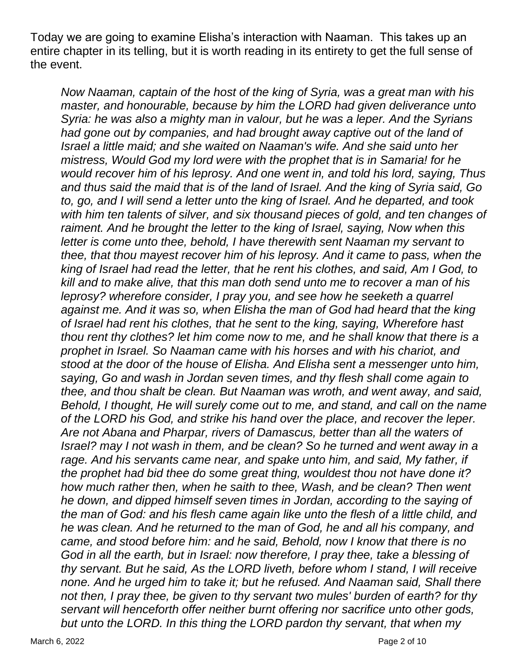Today we are going to examine Elisha's interaction with Naaman. This takes up an entire chapter in its telling, but it is worth reading in its entirety to get the full sense of the event.

*Now Naaman, captain of the host of the king of Syria, was a great man with his master, and honourable, because by him the LORD had given deliverance unto Syria: he was also a mighty man in valour, but he was a leper. And the Syrians had gone out by companies, and had brought away captive out of the land of Israel a little maid; and she waited on Naaman's wife. And she said unto her mistress, Would God my lord were with the prophet that is in Samaria! for he would recover him of his leprosy. And one went in, and told his lord, saying, Thus and thus said the maid that is of the land of Israel. And the king of Syria said, Go to, go, and I will send a letter unto the king of Israel. And he departed, and took with him ten talents of silver, and six thousand pieces of gold, and ten changes of raiment. And he brought the letter to the king of Israel, saying, Now when this letter is come unto thee, behold, I have therewith sent Naaman my servant to thee, that thou mayest recover him of his leprosy. And it came to pass, when the king of Israel had read the letter, that he rent his clothes, and said, Am I God, to kill and to make alive, that this man doth send unto me to recover a man of his leprosy? wherefore consider, I pray you, and see how he seeketh a quarrel*  against me. And it was so, when Elisha the man of God had heard that the king *of Israel had rent his clothes, that he sent to the king, saying, Wherefore hast thou rent thy clothes? let him come now to me, and he shall know that there is a prophet in Israel. So Naaman came with his horses and with his chariot, and stood at the door of the house of Elisha. And Elisha sent a messenger unto him, saying, Go and wash in Jordan seven times, and thy flesh shall come again to thee, and thou shalt be clean. But Naaman was wroth, and went away, and said, Behold, I thought, He will surely come out to me, and stand, and call on the name of the LORD his God, and strike his hand over the place, and recover the leper. Are not Abana and Pharpar, rivers of Damascus, better than all the waters of Israel? may I not wash in them, and be clean? So he turned and went away in a rage. And his servants came near, and spake unto him, and said, My father, if the prophet had bid thee do some great thing, wouldest thou not have done it? how much rather then, when he saith to thee, Wash, and be clean? Then went he down, and dipped himself seven times in Jordan, according to the saying of the man of God: and his flesh came again like unto the flesh of a little child, and he was clean. And he returned to the man of God, he and all his company, and came, and stood before him: and he said, Behold, now I know that there is no God in all the earth, but in Israel: now therefore, I pray thee, take a blessing of thy servant. But he said, As the LORD liveth, before whom I stand, I will receive none. And he urged him to take it; but he refused. And Naaman said, Shall there not then, I pray thee, be given to thy servant two mules' burden of earth? for thy servant will henceforth offer neither burnt offering nor sacrifice unto other gods, but unto the LORD. In this thing the LORD pardon thy servant, that when my*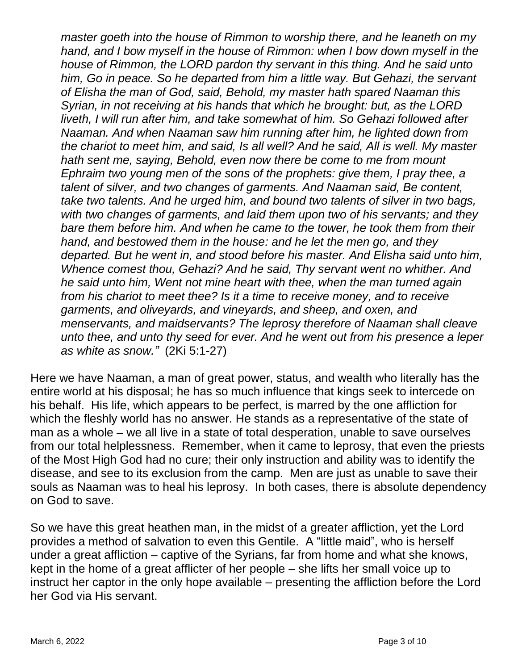*master goeth into the house of Rimmon to worship there, and he leaneth on my hand, and I bow myself in the house of Rimmon: when I bow down myself in the house of Rimmon, the LORD pardon thy servant in this thing. And he said unto him, Go in peace. So he departed from him a little way. But Gehazi, the servant of Elisha the man of God, said, Behold, my master hath spared Naaman this Syrian, in not receiving at his hands that which he brought: but, as the LORD liveth, I will run after him, and take somewhat of him. So Gehazi followed after Naaman. And when Naaman saw him running after him, he lighted down from the chariot to meet him, and said, Is all well? And he said, All is well. My master hath sent me, saying, Behold, even now there be come to me from mount Ephraim two young men of the sons of the prophets: give them, I pray thee, a talent of silver, and two changes of garments. And Naaman said, Be content, take two talents. And he urged him, and bound two talents of silver in two bags, with two changes of garments, and laid them upon two of his servants; and they bare them before him. And when he came to the tower, he took them from their hand, and bestowed them in the house: and he let the men go, and they departed. But he went in, and stood before his master. And Elisha said unto him, Whence comest thou, Gehazi? And he said, Thy servant went no whither. And he said unto him, Went not mine heart with thee, when the man turned again from his chariot to meet thee? Is it a time to receive money, and to receive garments, and oliveyards, and vineyards, and sheep, and oxen, and menservants, and maidservants? The leprosy therefore of Naaman shall cleave unto thee, and unto thy seed for ever. And he went out from his presence a leper as white as snow."* (2Ki 5:1-27)

Here we have Naaman, a man of great power, status, and wealth who literally has the entire world at his disposal; he has so much influence that kings seek to intercede on his behalf. His life, which appears to be perfect, is marred by the one affliction for which the fleshly world has no answer. He stands as a representative of the state of man as a whole – we all live in a state of total desperation, unable to save ourselves from our total helplessness. Remember, when it came to leprosy, that even the priests of the Most High God had no cure; their only instruction and ability was to identify the disease, and see to its exclusion from the camp. Men are just as unable to save their souls as Naaman was to heal his leprosy. In both cases, there is absolute dependency on God to save.

So we have this great heathen man, in the midst of a greater affliction, yet the Lord provides a method of salvation to even this Gentile. A "little maid", who is herself under a great affliction – captive of the Syrians, far from home and what she knows, kept in the home of a great afflicter of her people – she lifts her small voice up to instruct her captor in the only hope available – presenting the affliction before the Lord her God via His servant.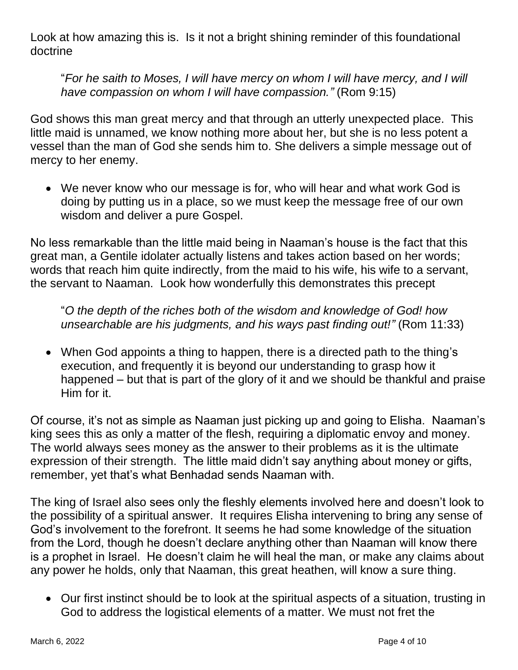Look at how amazing this is. Is it not a bright shining reminder of this foundational doctrine

"*For he saith to Moses, I will have mercy on whom I will have mercy, and I will have compassion on whom I will have compassion."* (Rom 9:15)

God shows this man great mercy and that through an utterly unexpected place. This little maid is unnamed, we know nothing more about her, but she is no less potent a vessel than the man of God she sends him to. She delivers a simple message out of mercy to her enemy.

• We never know who our message is for, who will hear and what work God is doing by putting us in a place, so we must keep the message free of our own wisdom and deliver a pure Gospel.

No less remarkable than the little maid being in Naaman's house is the fact that this great man, a Gentile idolater actually listens and takes action based on her words; words that reach him quite indirectly, from the maid to his wife, his wife to a servant, the servant to Naaman. Look how wonderfully this demonstrates this precept

"*O the depth of the riches both of the wisdom and knowledge of God! how unsearchable are his judgments, and his ways past finding out!"* (Rom 11:33)

• When God appoints a thing to happen, there is a directed path to the thing's execution, and frequently it is beyond our understanding to grasp how it happened – but that is part of the glory of it and we should be thankful and praise Him for it.

Of course, it's not as simple as Naaman just picking up and going to Elisha. Naaman's king sees this as only a matter of the flesh, requiring a diplomatic envoy and money. The world always sees money as the answer to their problems as it is the ultimate expression of their strength. The little maid didn't say anything about money or gifts, remember, yet that's what Benhadad sends Naaman with.

The king of Israel also sees only the fleshly elements involved here and doesn't look to the possibility of a spiritual answer. It requires Elisha intervening to bring any sense of God's involvement to the forefront. It seems he had some knowledge of the situation from the Lord, though he doesn't declare anything other than Naaman will know there is a prophet in Israel. He doesn't claim he will heal the man, or make any claims about any power he holds, only that Naaman, this great heathen, will know a sure thing.

• Our first instinct should be to look at the spiritual aspects of a situation, trusting in God to address the logistical elements of a matter. We must not fret the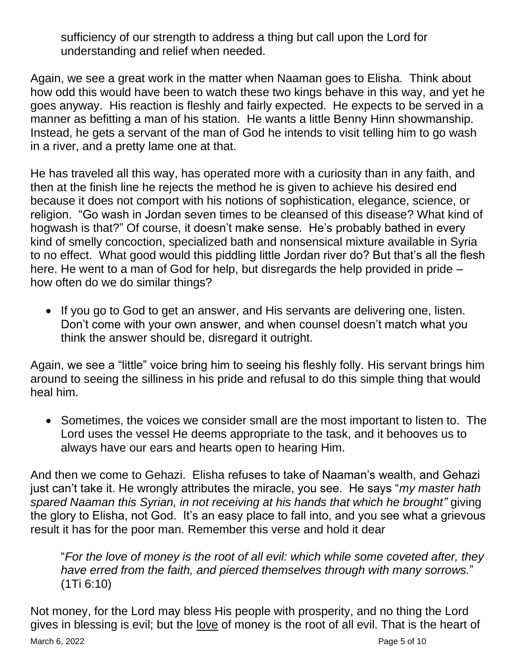sufficiency of our strength to address a thing but call upon the Lord for understanding and relief when needed.

Again, we see a great work in the matter when Naaman goes to Elisha. Think about how odd this would have been to watch these two kings behave in this way, and yet he goes anyway. His reaction is fleshly and fairly expected. He expects to be served in a manner as befitting a man of his station. He wants a little Benny Hinn showmanship. Instead, he gets a servant of the man of God he intends to visit telling him to go wash in a river, and a pretty lame one at that.

He has traveled all this way, has operated more with a curiosity than in any faith, and then at the finish line he rejects the method he is given to achieve his desired end because it does not comport with his notions of sophistication, elegance, science, or religion. "Go wash in Jordan seven times to be cleansed of this disease? What kind of hogwash is that?" Of course, it doesn't make sense. He's probably bathed in every kind of smelly concoction, specialized bath and nonsensical mixture available in Syria to no effect. What good would this piddling little Jordan river do? But that's all the flesh here. He went to a man of God for help, but disregards the help provided in pride – how often do we do similar things?

• If you go to God to get an answer, and His servants are delivering one, listen. Don't come with your own answer, and when counsel doesn't match what you think the answer should be, disregard it outright.

Again, we see a "little" voice bring him to seeing his fleshly folly. His servant brings him around to seeing the silliness in his pride and refusal to do this simple thing that would heal him.

• Sometimes, the voices we consider small are the most important to listen to. The Lord uses the vessel He deems appropriate to the task, and it behooves us to always have our ears and hearts open to hearing Him.

And then we come to Gehazi. Elisha refuses to take of Naaman's wealth, and Gehazi just can't take it. He wrongly attributes the miracle, you see. He says "*my master hath spared Naaman this Syrian, in not receiving at his hands that which he brought"* giving the glory to Elisha, not God. It's an easy place to fall into, and you see what a grievous result it has for the poor man. Remember this verse and hold it dear

"*For the love of money is the root of all evil: which while some coveted after, they have erred from the faith, and pierced themselves through with many sorrows.*" (1Ti 6:10)

March 6, 2022 **Page 5 of 10** Not money, for the Lord may bless His people with prosperity, and no thing the Lord gives in blessing is evil; but the love of money is the root of all evil. That is the heart of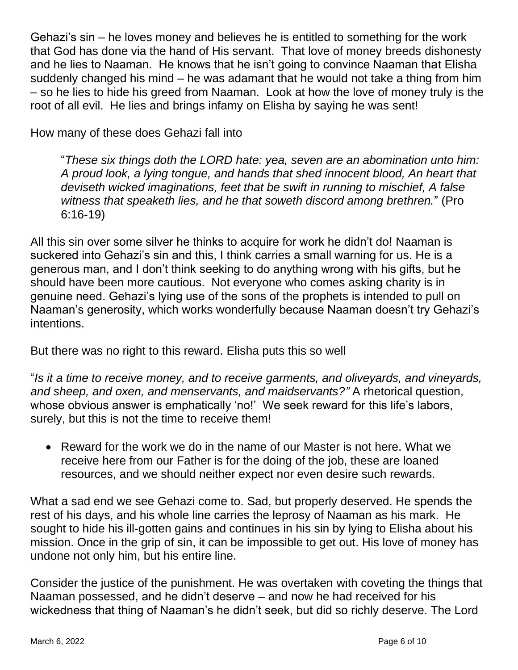Gehazi's sin – he loves money and believes he is entitled to something for the work that God has done via the hand of His servant. That love of money breeds dishonesty and he lies to Naaman. He knows that he isn't going to convince Naaman that Elisha suddenly changed his mind – he was adamant that he would not take a thing from him – so he lies to hide his greed from Naaman. Look at how the love of money truly is the root of all evil. He lies and brings infamy on Elisha by saying he was sent!

How many of these does Gehazi fall into

"*These six things doth the LORD hate: yea, seven are an abomination unto him: A proud look, a lying tongue, and hands that shed innocent blood, An heart that deviseth wicked imaginations, feet that be swift in running to mischief, A false witness that speaketh lies, and he that soweth discord among brethren.*" (Pro 6:16-19)

All this sin over some silver he thinks to acquire for work he didn't do! Naaman is suckered into Gehazi's sin and this, I think carries a small warning for us. He is a generous man, and I don't think seeking to do anything wrong with his gifts, but he should have been more cautious. Not everyone who comes asking charity is in genuine need. Gehazi's lying use of the sons of the prophets is intended to pull on Naaman's generosity, which works wonderfully because Naaman doesn't try Gehazi's intentions.

But there was no right to this reward. Elisha puts this so well

"*Is it a time to receive money, and to receive garments, and oliveyards, and vineyards, and sheep, and oxen, and menservants, and maidservants?"* A rhetorical question, whose obvious answer is emphatically 'no!' We seek reward for this life's labors, surely, but this is not the time to receive them!

• Reward for the work we do in the name of our Master is not here. What we receive here from our Father is for the doing of the job, these are loaned resources, and we should neither expect nor even desire such rewards.

What a sad end we see Gehazi come to. Sad, but properly deserved. He spends the rest of his days, and his whole line carries the leprosy of Naaman as his mark. He sought to hide his ill-gotten gains and continues in his sin by lying to Elisha about his mission. Once in the grip of sin, it can be impossible to get out. His love of money has undone not only him, but his entire line.

Consider the justice of the punishment. He was overtaken with coveting the things that Naaman possessed, and he didn't deserve – and now he had received for his wickedness that thing of Naaman's he didn't seek, but did so richly deserve. The Lord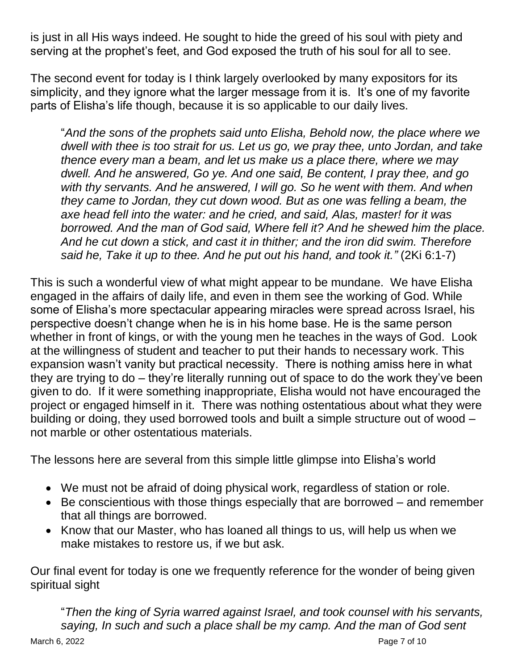is just in all His ways indeed. He sought to hide the greed of his soul with piety and serving at the prophet's feet, and God exposed the truth of his soul for all to see.

The second event for today is I think largely overlooked by many expositors for its simplicity, and they ignore what the larger message from it is. It's one of my favorite parts of Elisha's life though, because it is so applicable to our daily lives.

"*And the sons of the prophets said unto Elisha, Behold now, the place where we dwell with thee is too strait for us. Let us go, we pray thee, unto Jordan, and take thence every man a beam, and let us make us a place there, where we may dwell. And he answered, Go ye. And one said, Be content, I pray thee, and go*  with thy servants. And he answered, I will go. So he went with them. And when *they came to Jordan, they cut down wood. But as one was felling a beam, the axe head fell into the water: and he cried, and said, Alas, master! for it was borrowed. And the man of God said, Where fell it? And he shewed him the place. And he cut down a stick, and cast it in thither; and the iron did swim. Therefore said he, Take it up to thee. And he put out his hand, and took it."* (2Ki 6:1-7)

This is such a wonderful view of what might appear to be mundane. We have Elisha engaged in the affairs of daily life, and even in them see the working of God. While some of Elisha's more spectacular appearing miracles were spread across Israel, his perspective doesn't change when he is in his home base. He is the same person whether in front of kings, or with the young men he teaches in the ways of God. Look at the willingness of student and teacher to put their hands to necessary work. This expansion wasn't vanity but practical necessity. There is nothing amiss here in what they are trying to do – they're literally running out of space to do the work they've been given to do. If it were something inappropriate, Elisha would not have encouraged the project or engaged himself in it. There was nothing ostentatious about what they were building or doing, they used borrowed tools and built a simple structure out of wood – not marble or other ostentatious materials.

The lessons here are several from this simple little glimpse into Elisha's world

- We must not be afraid of doing physical work, regardless of station or role.
- Be conscientious with those things especially that are borrowed and remember that all things are borrowed.
- Know that our Master, who has loaned all things to us, will help us when we make mistakes to restore us, if we but ask.

Our final event for today is one we frequently reference for the wonder of being given spiritual sight

March 6, 2022 **Page 7 of 10** "*Then the king of Syria warred against Israel, and took counsel with his servants, saying, In such and such a place shall be my camp. And the man of God sent*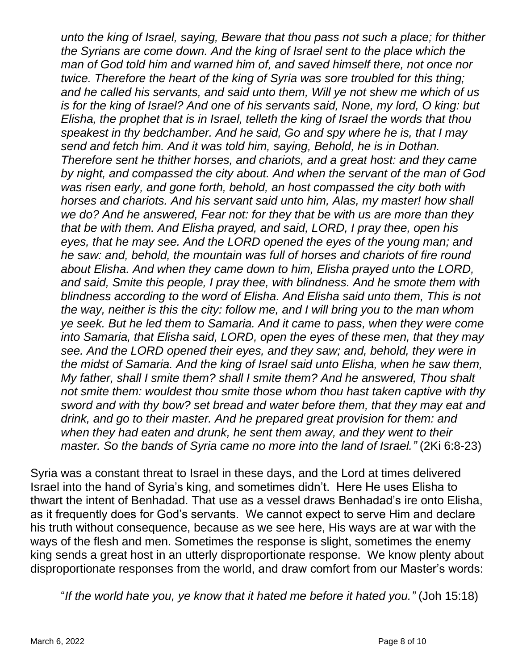*unto the king of Israel, saying, Beware that thou pass not such a place; for thither the Syrians are come down. And the king of Israel sent to the place which the man of God told him and warned him of, and saved himself there, not once nor twice. Therefore the heart of the king of Syria was sore troubled for this thing; and he called his servants, and said unto them, Will ye not shew me which of us is for the king of Israel? And one of his servants said, None, my lord, O king: but Elisha, the prophet that is in Israel, telleth the king of Israel the words that thou speakest in thy bedchamber. And he said, Go and spy where he is, that I may send and fetch him. And it was told him, saying, Behold, he is in Dothan. Therefore sent he thither horses, and chariots, and a great host: and they came by night, and compassed the city about. And when the servant of the man of God was risen early, and gone forth, behold, an host compassed the city both with horses and chariots. And his servant said unto him, Alas, my master! how shall we do? And he answered, Fear not: for they that be with us are more than they that be with them. And Elisha prayed, and said, LORD, I pray thee, open his eyes, that he may see. And the LORD opened the eyes of the young man; and he saw: and, behold, the mountain was full of horses and chariots of fire round about Elisha. And when they came down to him, Elisha prayed unto the LORD, and said, Smite this people, I pray thee, with blindness. And he smote them with blindness according to the word of Elisha. And Elisha said unto them, This is not the way, neither is this the city: follow me, and I will bring you to the man whom ye seek. But he led them to Samaria. And it came to pass, when they were come into Samaria, that Elisha said, LORD, open the eyes of these men, that they may see. And the LORD opened their eyes, and they saw; and, behold, they were in the midst of Samaria. And the king of Israel said unto Elisha, when he saw them, My father, shall I smite them? shall I smite them? And he answered, Thou shalt not smite them: wouldest thou smite those whom thou hast taken captive with thy sword and with thy bow? set bread and water before them, that they may eat and drink, and go to their master. And he prepared great provision for them: and when they had eaten and drunk, he sent them away, and they went to their master. So the bands of Syria came no more into the land of Israel."* (2Ki 6:8-23)

Syria was a constant threat to Israel in these days, and the Lord at times delivered Israel into the hand of Syria's king, and sometimes didn't. Here He uses Elisha to thwart the intent of Benhadad. That use as a vessel draws Benhadad's ire onto Elisha, as it frequently does for God's servants. We cannot expect to serve Him and declare his truth without consequence, because as we see here, His ways are at war with the ways of the flesh and men. Sometimes the response is slight, sometimes the enemy king sends a great host in an utterly disproportionate response. We know plenty about disproportionate responses from the world, and draw comfort from our Master's words:

"*If the world hate you, ye know that it hated me before it hated you."* (Joh 15:18)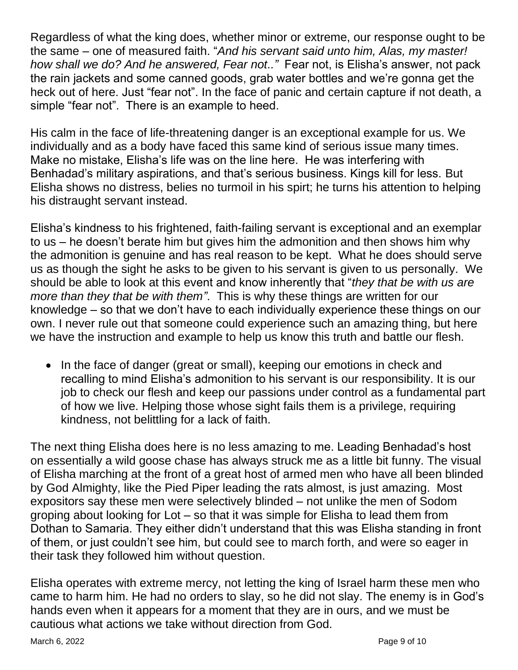Regardless of what the king does, whether minor or extreme, our response ought to be the same – one of measured faith. "*And his servant said unto him, Alas, my master! how shall we do? And he answered, Fear not.."* Fear not, is Elisha's answer, not pack the rain jackets and some canned goods, grab water bottles and we're gonna get the heck out of here. Just "fear not". In the face of panic and certain capture if not death, a simple "fear not". There is an example to heed.

His calm in the face of life-threatening danger is an exceptional example for us. We individually and as a body have faced this same kind of serious issue many times. Make no mistake, Elisha's life was on the line here. He was interfering with Benhadad's military aspirations, and that's serious business. Kings kill for less. But Elisha shows no distress, belies no turmoil in his spirt; he turns his attention to helping his distraught servant instead.

Elisha's kindness to his frightened, faith-failing servant is exceptional and an exemplar to us – he doesn't berate him but gives him the admonition and then shows him why the admonition is genuine and has real reason to be kept. What he does should serve us as though the sight he asks to be given to his servant is given to us personally. We should be able to look at this event and know inherently that "*they that be with us are more than they that be with them"*. This is why these things are written for our knowledge – so that we don't have to each individually experience these things on our own. I never rule out that someone could experience such an amazing thing, but here we have the instruction and example to help us know this truth and battle our flesh.

• In the face of danger (great or small), keeping our emotions in check and recalling to mind Elisha's admonition to his servant is our responsibility. It is our job to check our flesh and keep our passions under control as a fundamental part of how we live. Helping those whose sight fails them is a privilege, requiring kindness, not belittling for a lack of faith.

The next thing Elisha does here is no less amazing to me. Leading Benhadad's host on essentially a wild goose chase has always struck me as a little bit funny. The visual of Elisha marching at the front of a great host of armed men who have all been blinded by God Almighty, like the Pied Piper leading the rats almost, is just amazing. Most expositors say these men were selectively blinded – not unlike the men of Sodom groping about looking for Lot – so that it was simple for Elisha to lead them from Dothan to Samaria. They either didn't understand that this was Elisha standing in front of them, or just couldn't see him, but could see to march forth, and were so eager in their task they followed him without question.

Elisha operates with extreme mercy, not letting the king of Israel harm these men who came to harm him. He had no orders to slay, so he did not slay. The enemy is in God's hands even when it appears for a moment that they are in ours, and we must be cautious what actions we take without direction from God.